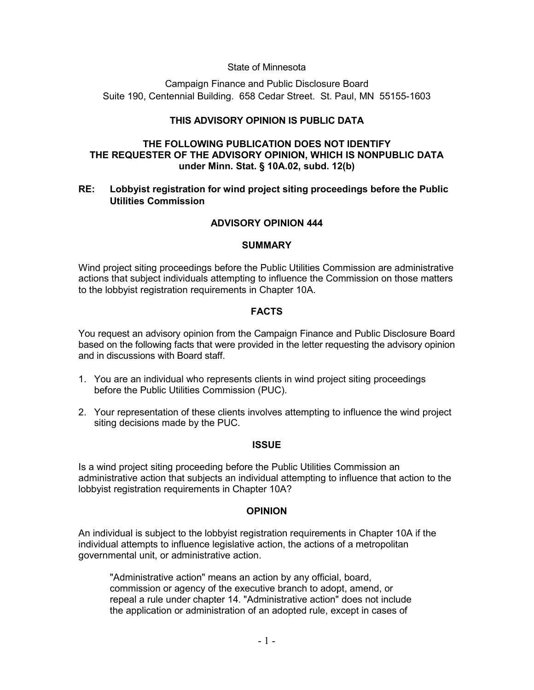#### State of Minnesota

Campaign Finance and Public Disclosure Board Suite 190, Centennial Building. 658 Cedar Street. St. Paul, MN 55155-1603

# **THIS ADVISORY OPINION IS PUBLIC DATA**

## **THE FOLLOWING PUBLICATION DOES NOT IDENTIFY THE REQUESTER OF THE ADVISORY OPINION, WHICH IS NONPUBLIC DATA under Minn. Stat. § 10A.02, subd. 12(b)**

## **RE: Lobbyist registration for wind project siting proceedings before the Public Utilities Commission**

## **ADVISORY OPINION 444**

#### **SUMMARY**

Wind project siting proceedings before the Public Utilities Commission are administrative actions that subject individuals attempting to influence the Commission on those matters to the lobbyist registration requirements in Chapter 10A.

### **FACTS**

You request an advisory opinion from the Campaign Finance and Public Disclosure Board based on the following facts that were provided in the letter requesting the advisory opinion and in discussions with Board staff.

- 1. You are an individual who represents clients in wind project siting proceedings before the Public Utilities Commission (PUC).
- 2. Your representation of these clients involves attempting to influence the wind project siting decisions made by the PUC.

#### **ISSUE**

Is a wind project siting proceeding before the Public Utilities Commission an administrative action that subjects an individual attempting to influence that action to the lobbyist registration requirements in Chapter 10A?

#### **OPINION**

An individual is subject to the lobbyist registration requirements in Chapter 10A if the individual attempts to influence legislative action, the actions of a metropolitan governmental unit, or administrative action.

"Administrative action" means an action by any official, board, commission or agency of the executive branch to adopt, amend, or repeal a rule under chapter 14. "Administrative action" does not include the application or administration of an adopted rule, except in cases of